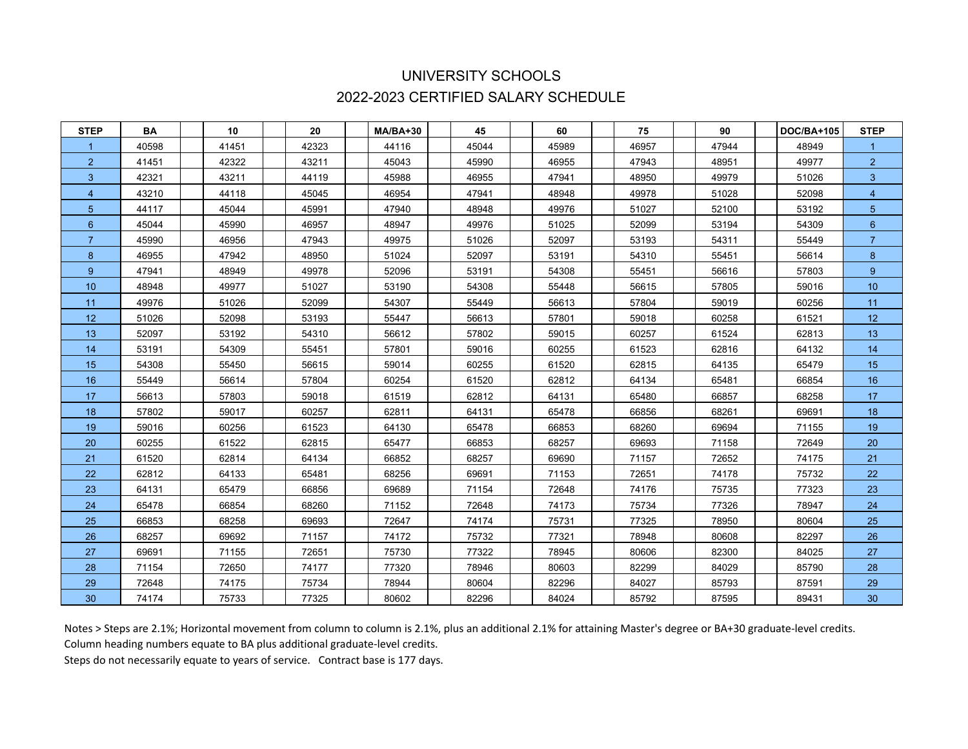## UNIVERSITY SCHOOLS 2022-2023 CERTIFIED SALARY SCHEDULE

| <b>STEP</b>     | BA    | 10    | 20    | MA/BA+30 | 45    | 60    | 75    | 90    | <b>DOC/BA+105</b> | <b>STEP</b>     |
|-----------------|-------|-------|-------|----------|-------|-------|-------|-------|-------------------|-----------------|
|                 | 40598 | 41451 | 42323 | 44116    | 45044 | 45989 | 46957 | 47944 | 48949             |                 |
| $\overline{2}$  | 41451 | 42322 | 43211 | 45043    | 45990 | 46955 | 47943 | 48951 | 49977             | $\overline{2}$  |
| 3               | 42321 | 43211 | 44119 | 45988    | 46955 | 47941 | 48950 | 49979 | 51026             | 3 <sup>2</sup>  |
| $\overline{4}$  | 43210 | 44118 | 45045 | 46954    | 47941 | 48948 | 49978 | 51028 | 52098             | $\overline{4}$  |
| $5\phantom{.0}$ | 44117 | 45044 | 45991 | 47940    | 48948 | 49976 | 51027 | 52100 | 53192             | 5 <sup>5</sup>  |
| 6               | 45044 | 45990 | 46957 | 48947    | 49976 | 51025 | 52099 | 53194 | 54309             | $6\phantom{1}$  |
| $\overline{7}$  | 45990 | 46956 | 47943 | 49975    | 51026 | 52097 | 53193 | 54311 | 55449             | $\overline{7}$  |
| 8               | 46955 | 47942 | 48950 | 51024    | 52097 | 53191 | 54310 | 55451 | 56614             | 8 <sup>°</sup>  |
| 9 <sup>°</sup>  | 47941 | 48949 | 49978 | 52096    | 53191 | 54308 | 55451 | 56616 | 57803             | $9^{\circ}$     |
| 10 <sup>°</sup> | 48948 | 49977 | 51027 | 53190    | 54308 | 55448 | 56615 | 57805 | 59016             | 10 <sup>°</sup> |
| 11              | 49976 | 51026 | 52099 | 54307    | 55449 | 56613 | 57804 | 59019 | 60256             | 11              |
| 12              | 51026 | 52098 | 53193 | 55447    | 56613 | 57801 | 59018 | 60258 | 61521             | 12 <sub>2</sub> |
| 13              | 52097 | 53192 | 54310 | 56612    | 57802 | 59015 | 60257 | 61524 | 62813             | 13              |
| 14              | 53191 | 54309 | 55451 | 57801    | 59016 | 60255 | 61523 | 62816 | 64132             | 14              |
| 15              | 54308 | 55450 | 56615 | 59014    | 60255 | 61520 | 62815 | 64135 | 65479             | 15              |
| 16              | 55449 | 56614 | 57804 | 60254    | 61520 | 62812 | 64134 | 65481 | 66854             | $16\,$          |
| 17              | 56613 | 57803 | 59018 | 61519    | 62812 | 64131 | 65480 | 66857 | 68258             | 17 <sub>2</sub> |
| 18              | 57802 | 59017 | 60257 | 62811    | 64131 | 65478 | 66856 | 68261 | 69691             | 18              |
| 19              | 59016 | 60256 | 61523 | 64130    | 65478 | 66853 | 68260 | 69694 | 71155             | $19$            |
| 20              | 60255 | 61522 | 62815 | 65477    | 66853 | 68257 | 69693 | 71158 | 72649             | 20              |
| 21              | 61520 | 62814 | 64134 | 66852    | 68257 | 69690 | 71157 | 72652 | 74175             | 21              |
| 22              | 62812 | 64133 | 65481 | 68256    | 69691 | 71153 | 72651 | 74178 | 75732             | 22              |
| 23              | 64131 | 65479 | 66856 | 69689    | 71154 | 72648 | 74176 | 75735 | 77323             | 23              |
| 24              | 65478 | 66854 | 68260 | 71152    | 72648 | 74173 | 75734 | 77326 | 78947             | 24              |
| 25              | 66853 | 68258 | 69693 | 72647    | 74174 | 75731 | 77325 | 78950 | 80604             | 25              |
| 26              | 68257 | 69692 | 71157 | 74172    | 75732 | 77321 | 78948 | 80608 | 82297             | 26              |
| 27              | 69691 | 71155 | 72651 | 75730    | 77322 | 78945 | 80606 | 82300 | 84025             | 27              |
| 28              | 71154 | 72650 | 74177 | 77320    | 78946 | 80603 | 82299 | 84029 | 85790             | 28              |
| 29              | 72648 | 74175 | 75734 | 78944    | 80604 | 82296 | 84027 | 85793 | 87591             | 29              |
| 30 <sup>°</sup> | 74174 | 75733 | 77325 | 80602    | 82296 | 84024 | 85792 | 87595 | 89431             | 30 <sub>o</sub> |

Notes > Steps are 2.1%; Horizontal movement from column to column is 2.1%, plus an additional 2.1% for attaining Master's degree or BA+30 graduate-level credits.

Column heading numbers equate to BA plus additional graduate-level credits.

Steps do not necessarily equate to years of service. Contract base is 177 days.